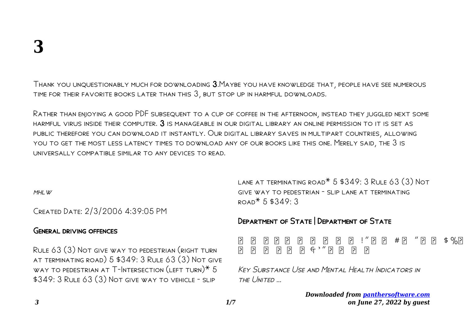Thank you unquestionably much for downloading 3.Maybe you have knowledge that, people have see numerous time for their favorite books later than this 3, but stop up in harmful downloads.

Rather than enjoying a good PDF subsequent to a cup of coffee in the afternoon, instead they juggled next some HARMFUL VIRUS INSIDE THEIR COMPUTER.  $3$  is manageable in our digital library an online permission to it is set as public therefore you can download it instantly. Our digital library saves in multipart countries, allowing you to get the most less latency times to download any of our books like this one. Merely said, the 3 is universally compatible similar to any devices to read.

 $MHI$   $W$ 

Created Date: 2/3/2006 4:39:05 PM

### General driving offences

Rule 63 (3) Not give way to pedestrian (right turn at terminating road) 5 \$349: 3 Rule 63 (3) Not give way to pedestrian at T-Intersection (left turn)\* 5 \$349: 3 Rule 63 (3) Not give way to vehicle - slip

LANE AT TERMINATING ROAD<sup>\*</sup> 5 \$349: 3 RULE 63 (3) NOT give way to pedestrian - slip lane at terminating  $\tan* 5$  \$349.3

# Department of State | Department of State

 ! " # " \$ %  $\begin{array}{ccccc} \hline \Xi & \Xi & \Xi \end{array} \begin{array}{ccccc} \Xi & \Xi & \Xi \end{array} \begin{array}{ccccc} \Xi & \Xi & \Xi \end{array} \begin{array}{ccccc} \Xi & \Xi & \Xi \end{array}$ 

KEY SUBSTANCE USE AND MENTAL HEALTH INDICATORS IN THE UNITED ...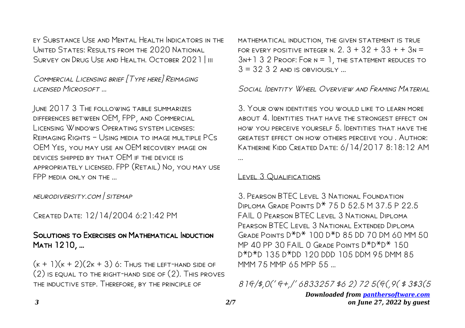ey Substance Use and Mental Health Indicators in the UNITED STATES: RESULTS FROM THE 2020 NATIONAL SURVEY ON DRUG USE AND HEALTH. OCTOBER 2021 | III

Commercial Licensing brief [Type here] Reimaging licensed Microsoft …

June 2017 3 The following table summarizes differences between OEM, FPP, and Commercial Licensing Windows Operating system licenses: Reimaging Rights – Using media to image multiple PCs OEM Yes, you may use an OEM recovery image on devices shipped by that OEM if the device is appropriately licensed. FPP (Retail) No, you may use FPP MEDIA ONLY ON THE ...

neurodiversity.com | sitemap

Created Date: 12/14/2004 6:21:42 PM

# SOLUTIONS TO EXERCISES ON MATHEMATICAL INDUCTION Math 1210, …

 $(k + 1)(k + 2)(2k + 3)$  6: Thus the LEFT-HAND SIDE OF (2) is equal to the right-hand side of (2). This proves the inductive step. Therefore, by the principle of

mathematical induction, the given statement is true FOR EVERY POSITIVE INTEGER N.  $2.3 + 32 + 33 + 3$ N =  $3N+132$  Proof: For  $N = 1$ , the statement reduces to  $3 = 32.3.2$  and is obviously

### Social Identity WHEEL OVERVIEW AND FRAMING MATERIAL

3. Your own identities you would like to learn more about 4. Identities that have the strongest effect on how you perceive yourself 5. Identities that have the greatest effect on how others perceive you . Author: Katherine Kidd Created Date: 6/14/2017 8:18:12 AM ...

#### LEVEL 3 QUALIFICATIONS

3. Pearson BTEC Level 3 National Foundation Diploma Grade Points D\* 75 D 52.5 M 37.5 P 22.5 FAIL O PEARSON BTEC LEVEL 3 NATIONAL DIPLOMA Pearson BTEC Level 3 National Extended Diploma Grade Points D\*D\* 100 D\*D 85 DD 70 DM 60 MM 50 MP 40 PP 30 FAIL 0 GRADE POINTS  $D^*D^*D^*$  150 D\*D\*D 135 D\*DD 120 DDD 105 DDM 95 DMM 85 MMM 75 MMP 65 MPP 55 …

81&/\$,0(' &+,/' 6833257 \$6 2) 72 5(&(,9( \$ 3\$3(5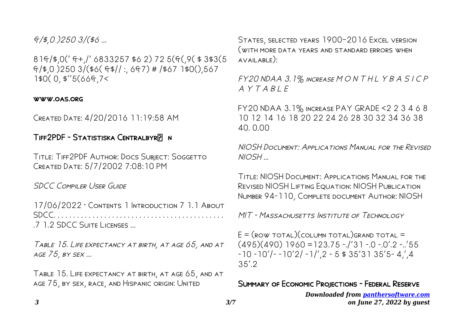# $f_{\mathcal{A}}(4,0)$  250  $3/(46...$

81&/\$,0(' &+,/' 6833257 \$6 2) 72 5(&(,9( \$ 3\$3(5  $f$  (\$,0 )250 3/(\$6(  $f$ \$// :, 6 $f$ 7) # /\$67 1\$0(),567 1\$0( 0, \$''5(66&,7<

#### www.oas.org

Created Date: 4/20/2016 11:19:58 AM

### TIFF2PDF - STATISTISKA CENTRALBYRE N

Title: Tiff2PDF Author: Docs Subject: Soggetto Created Date: 5/7/2002 7:08:10 PM

SDCC COMPILER USER GUIDE

17/06/2022 · Contents 1 Introduction 7 1.1 About SDCC. . . . . . . . . . . . . . . . . . . . . . . . . . . . . . . . . . . . . . . . . . . . .7 1.2 SDCC Suite Licenses ...

Table 15. Life expectancy at birth, at age 65, and at age 75, by sex ...

Table 15. Life expectancy at birth, at age 65, and at age 75, by sex, race, and Hispanic origin: United

STATES, SELECTED YEARS 1900-2016 EXCEL VERSION (with more data years and standard errors when available):

FY20 NDAA 3.1% INCREASE MONTHLYBASICP  $AYTARIF$ 

FY20 NDAA 3.1% increase PAY GRADE <2 2 3 4 6 8 10 12 14 16 18 20 22 24 26 28 30 32 34 36 38 40. 0.00

NIOSH Document: Applications Manual for the Revised NIOSH …

Title: NIOSH Document: Applications Manual for the Revised NIOSH Lifting Equation: NIOSH Publication Number 94-110, Complete document Author: NIOSH

MIT - MASSACHUSETTS INSTITUTE OF TECHNOLOGY

 $E = (Row\ total)(column\ total)$ grand total =  $(495)(490)$  1960 = 123.75 -./'31 -.0 -.0'.2 -..'55  $-10 -10'$ / $-10'2$ / $-1$ /',2  $-5$  \$ 35'31 35'5-4,',4  $35'$  2

### Summary of Economic Projections - Federal Reserve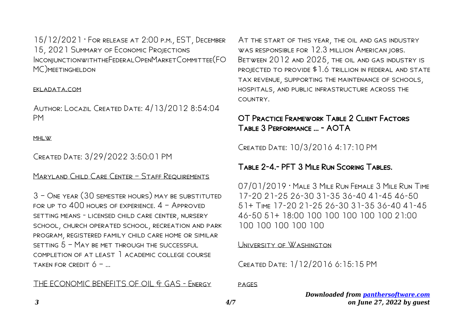15/12/2021 · For release at 2:00 p.m., EST, December 15, 2021 Summary of Economic Projections InconjunctionwiththeFederalOpenMarketCommittee(FO MC)meetingheldon

#### ekladata.com

Author: Locazil Created Date: 4/13/2012 8:54:04 PM

#### MHI W

### Created Date: 3/29/2022 3:50:01 PM

### MARYLAND CHILD CARE CENTER - STAFF REQUIREMENTS

3 – One year (30 semester hours) may be substituted for up to 400 hours of experience. 4 – Approved setting means - licensed child care center, nursery school, church operated school, recreation and park program, registered family child care home or similar setting 5 – May be met through the successful completion of at least 1 academic college course TAKEN FOR CREDIT  $6 -$ 

### THE ECONOMIC BENEFITS OF OIL & GAS - ENERGY

At the start of this year, the oil and gas industry was responsible for 12.3 million American jobs. Between 2012 and 2025, the oil and gas industry is projected to provide \$1.6 trillion in federal and state tax revenue, supporting the maintenance of schools, hospitals, and public infrastructure across the country.

# OT Practice Framework Table 2 Client Factors Table 3 Performance ... - AOTA

Created Date: 10/3/2016 4:17:10 PM

# Table 2-4.- PFT 3 Mile Run Scoring Tables.

07/01/2019 · Male 3 Mile Run Female 3 Mile Run Time 17-20 21-25 26-30 31-35 36-40 41-45 46-50 51+ Time 17-20 21-25 26-30 31-35 36-40 41-45 46-50 51+ 18:00 100 100 100 100 100 21:00 100 100 100 100 100

#### University of Washington

Created Date: 1/12/2016 6:15:15 PM

pages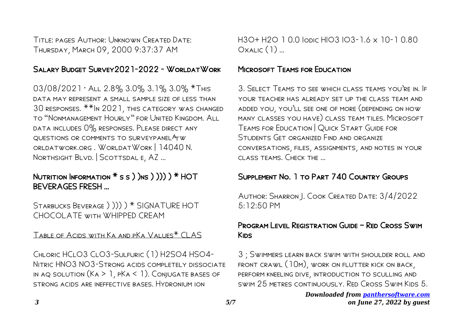Title: pages Author: Unknown Created Date: Thursday, March 09, 2000 9:37:37 AM

# SALARY BUDGET SURVEY 2021-2022 - WORLDATWORK

 $03/08/2021$   $\cdot$  ALL 2.8% 3.0% 3.1% 3.0%  $*$ This data may represent a small sample size of less than 30 responses. \*\*In 2021, this category was changed to "Nonmanagement Hourly" for United Kingdom. All data includes 0% responses. Please direct any QUESTIONS OR COMMENTS TO SURVEYPANEL AT W orldatwork.org . WorldatWork | 14040 N. Northsight Blvd. | Scottsdal e, AZ …

# NUTRITION INFORMATION  $*$  s s  $)$  )ns  $)$   $))$  )  $*$  HOT BEVERAGES FRESH …

Starbucks Beverage ) ))) ) \* SIGNATURE HOT CHOCOLATE with WHIPPED CREAM

Table of Acids with Ka and pKa Values\* CLAS

Chloric HClO3 ClO3-Sulfuric (1) H2SO4 HSO4- Nitric HNO3 NO3-Strong acids completely dissociate in aq solution (Ka > 1, pKa < 1). Conjugate bases of strong acids are ineffective bases. Hydronium ion

H3O+ H2O 1 0.0 Iodic HIO3 IO3-1.6 x 10-1 0.80  $OxALIC(1)$  ...

## **MICROSOFT TEAMS FOR EDUCATION**

3. Select Teams to see which class teams you're in. If your teacher has already set up the class team and added you, you'll see one of more (depending on how many classes you have) class team tiles. Microsoft Teams for Education | Quick Start Guide for STUDENTS GET ORGANIZED FIND AND ORGANIZE conversations, files, assignments, and notes in your class teams. Check the …

# SUPPLEMENT NO. 1 TO PART 740 COUNTRY GROUPS

Author: Sharron J. Cook Created Date: 3/4/2022 5:12:50 PM

# Program Level Registration Guide – Red Cross Swim Kids

3 ; Swimmers learn back swim with shoulder roll and front crawl (10m), work on flutter kick on back, perform kneeling dive, introduction to sculling and swim 25 metres continuously. Red Cross Swim Kids 5.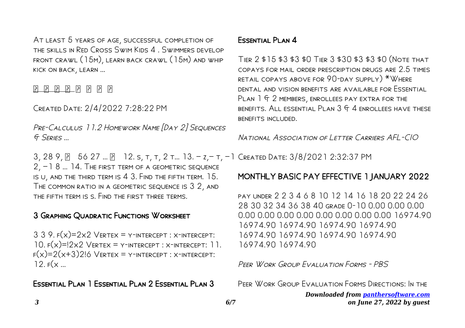At least 5 years of age, successful completion of the skills in Red Cross Swim Kids 4 . Swimmers develop front crawl (15m), learn back crawl (15m) and whip kick on back, learn …

 $\begin{bmatrix} 5 \\ 1 \end{bmatrix} \begin{bmatrix} 6 \\ 1 \end{bmatrix} \begin{bmatrix} 7 \\ 1 \end{bmatrix} \begin{bmatrix} 8 \\ 1 \end{bmatrix} \begin{bmatrix} 1 \\ 1 \end{bmatrix} \begin{bmatrix} 1 \\ 1 \end{bmatrix} \begin{bmatrix} 1 \\ 1 \end{bmatrix} \begin{bmatrix} 1 \\ 1 \end{bmatrix} \begin{bmatrix} 1 \\ 1 \end{bmatrix}$ 

Created Date: 2/4/2022 7:28:22 PM

Pre-Calculus 11.2 Homework Name [Day 2] Sequences & Series …

3, 28 9, 56 27 … 12. s, t, t, 2 t… 13. − z,− t, −1 Created Date: 3/8/2021 2:32:37 PM 2, −1 8 … 14. The first term of a geometric sequence is u, and the third term is 4 3. Find the fifth term. 15. The common ratio in a geometric sequence is 3 2, and the fifth term is s. Find the first three terms.

# 3 Graphing Quadratic Functions Worksheet

 $3$  3 9.  $F(x)=2x2$  VERTEX = Y-INTERCEPT : X-INTERCEPT: 10.  $F(x)=12x2$  VERTEX = Y-INTERCEPT : X-INTERCEPT: 11.  $F(x)=2(x+3)2!6$  VERTEX = Y-INTERCEPT : X-INTERCEPT:  $12. F(x...$ 

Essential Plan 1 Essential Plan 2 Essential Plan 3

# Essential Plan 4

Tier 2 \$15 \$3 \$3 \$0 Tier 3 \$30 \$3 \$3 \$0 (Note that copays for mail order prescription drugs are 2.5 times retail copays above for 90-day supply) \*Where dental and vision benefits are available for Essential PLAN 1 F 2 MEMBERS, ENROLLEES PAY EXTRA FOR THE BENEFITS. ALL ESSENTIAL PLAN  $3$  G  $4$  enrollees have these benefits included.

National Association of Letter Carriers AFL-CIO

# MONTHLY BASIC PAY EFFECTIVE 1 JANUARY 2022

pay under 2 2 3 4 6 8 10 12 14 16 18 20 22 24 26 28 30 32 34 36 38 40 grade 0-10 0.00 0.00 0.00 0.00 0.00 0.00 0.00 0.00 0.00 0.00 0.00 16974.90 16974.90 16974.90 16974.90 16974.90 16974.90 16974.90 16974.90 16974.90 16974.90 16974.90

Peer Work Group Evaluation Forms - PBS

Peer Work Group Evaluation Forms Directions: In the